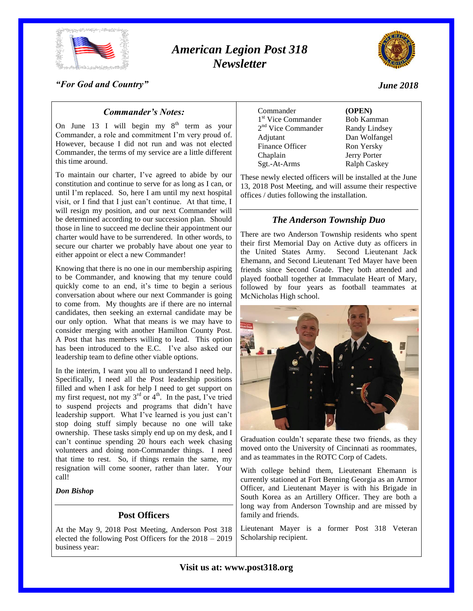

# *American Legion Post 318 Newsletter*



### *"For God and Country"*

### *Commander's Notes:*

On June 13 I will begin my  $8<sup>th</sup>$  term as your Commander, a role and commitment I'm very proud of. However, because I did not run and was not elected Commander, the terms of my service are a little different this time around.

To maintain our charter, I've agreed to abide by our constitution and continue to serve for as long as I can, or until I'm replaced. So, here I am until my next hospital visit, or I find that I just can't continue. At that time, I will resign my position, and our next Commander will be determined according to our succession plan. Should those in line to succeed me decline their appointment our charter would have to be surrendered. In other words, to secure our charter we probably have about one year to either appoint or elect a new Commander!

Knowing that there is no one in our membership aspiring to be Commander, and knowing that my tenure could quickly come to an end, it's time to begin a serious conversation about where our next Commander is going to come from. My thoughts are if there are no internal candidates, then seeking an external candidate may be our only option. What that means is we may have to consider merging with another Hamilton County Post. A Post that has members willing to lead. This option has been introduced to the E.C. I've also asked our leadership team to define other viable options.

In the interim, I want you all to understand I need help. Specifically, I need all the Post leadership positions filled and when I ask for help I need to get support on my first request, not my  $3<sup>rd</sup>$  or  $4<sup>th</sup>$ . In the past, I've tried to suspend projects and programs that didn't have leadership support. What I've learned is you just can't stop doing stuff simply because no one will take ownership. These tasks simply end up on my desk, and I can't continue spending 20 hours each week chasing volunteers and doing non-Commander things. I need that time to rest. So, if things remain the same, my resignation will come sooner, rather than later. Your call!

#### *Don Bishop*

#### **Post Officers**

At the May 9, 2018 Post Meeting, Anderson Post 318 elected the following Post Officers for the 2018 – 2019 business year:

| Commander                      |
|--------------------------------|
| 1 <sup>st</sup> Vice Commander |
| 2 <sup>nd</sup> Vice Commander |
| Adjutant                       |
| Finance Officer                |
| Chaplain                       |
| Sgt.-At-Arms                   |

Commander **(OPEN)** Bob Kamman Randy Lindsey Dan Wolfangel Ron Yersky Jerry Porter Ralph Caskey

These newly elected officers will be installed at the June 13, 2018 Post Meeting, and will assume their respective offices / duties following the installation.

#### *The Anderson Township Duo*

There are two Anderson Township residents who spent their first Memorial Day on Active duty as officers in the United States Army. Second Lieutenant Jack Ehemann, and Second Lieutenant Ted Mayer have been friends since Second Grade. They both attended and played football together at Immaculate Heart of Mary, followed by four years as football teammates at McNicholas High school.



Graduation couldn't separate these two friends, as they moved onto the University of Cincinnati as roommates, and as teammates in the ROTC Corp of Cadets.

With college behind them, Lieutenant Ehemann is currently stationed at Fort Benning Georgia as an Armor Officer, and Lieutenant Mayer is with his Brigade in South Korea as an Artillery Officer. They are both a long way from Anderson Township and are missed by family and friends.

Lieutenant Mayer is a former Post 318 Veteran Scholarship recipient.

#### **Visit us at: www.post318.org**

*June 2018*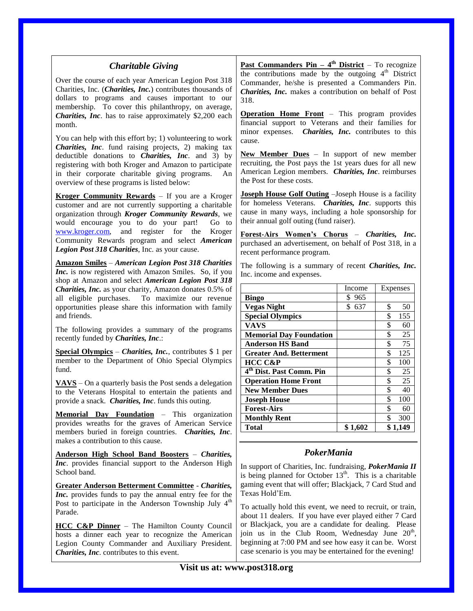| <b>Charitable Giving</b>                                                                                                                                                                                                          | <b>Past Commanders Pin – 4<sup>th</sup> District</b> – To recognize                                                                                                                                                |                    |                                     |
|-----------------------------------------------------------------------------------------------------------------------------------------------------------------------------------------------------------------------------------|--------------------------------------------------------------------------------------------------------------------------------------------------------------------------------------------------------------------|--------------------|-------------------------------------|
| Over the course of each year American Legion Post 318<br>Charities, Inc. (Charities, Inc.) contributes thousands of<br>dollars to programs and causes important to our                                                            | the contributions made by the outgoing 4 <sup>th</sup> District<br>Commander, he/she is presented a Commanders Pin.<br>Charities, Inc. makes a contribution on behalf of Post<br>318.                              |                    |                                     |
| membership. To cover this philanthropy, on average,<br>Charities, Inc. has to raise approximately \$2,200 each<br>month.                                                                                                          | <b>Operation Home Front</b> – This program provides<br>financial support to Veterans and their families for                                                                                                        |                    |                                     |
| You can help with this effort by; 1) volunteering to work<br><i>Charities, Inc.</i> fund raising projects, 2) making tax                                                                                                          | minor expenses.<br>cause.                                                                                                                                                                                          |                    | Charities, Inc. contributes to this |
| deductible donations to <i>Charities</i> , <i>Inc.</i> and 3) by<br>registering with both Kroger and Amazon to participate<br>in their corporate charitable giving programs.<br>An<br>overview of these programs is listed below: | <b>New Member Dues</b> $-$ In support of new member<br>recruiting, the Post pays the 1st years dues for all new<br>American Legion members. Charities, Inc. reimburses<br>the Post for these costs.                |                    |                                     |
| Kroger Community Rewards - If you are a Kroger                                                                                                                                                                                    | <b>Joseph House Golf Outing</b> - Joseph House is a facility                                                                                                                                                       |                    |                                     |
| customer and are not currently supporting a charitable<br>organization through Kroger Community Rewards, we<br>would encourage you to do your part!<br>Go to                                                                      | for homeless Veterans. Charities, Inc. supports this<br>cause in many ways, including a hole sponsorship for<br>their annual golf outing (fund raiser).                                                            |                    |                                     |
| and register for the<br>www.kroger.com,<br>Kroger<br>Community Rewards program and select American<br>Legion Post 318 Charities, Inc. as your cause.                                                                              | Forest-Airs Women's Chorus - Charities, Inc.<br>purchased an advertisement, on behalf of Post 318, in a<br>recent performance program.                                                                             |                    |                                     |
| <b>Amazon Smiles - American Legion Post 318 Charities</b><br>Inc. is now registered with Amazon Smiles. So, if you<br>shop at Amazon and select American Legion Post 318                                                          | The following is a summary of recent Charities, Inc.<br>Inc. income and expenses.                                                                                                                                  |                    |                                     |
| Charities, Inc. as your charity, Amazon donates 0.5% of                                                                                                                                                                           |                                                                                                                                                                                                                    | Income             | Expenses                            |
| To maximize our revenue<br>all eligible purchases.                                                                                                                                                                                | <b>Bingo</b>                                                                                                                                                                                                       | \$965              |                                     |
| opportunities please share this information with family                                                                                                                                                                           | <b>Vegas Night</b>                                                                                                                                                                                                 | $\overline{$}$ 637 | \$<br>50                            |
| and friends.                                                                                                                                                                                                                      | <b>Special Olympics</b>                                                                                                                                                                                            |                    | \$<br>155                           |
| The following provides a summary of the programs                                                                                                                                                                                  | <b>VAVS</b>                                                                                                                                                                                                        |                    | \$<br>60                            |
| recently funded by Charities, Inc.:                                                                                                                                                                                               | <b>Memorial Day Foundation</b>                                                                                                                                                                                     |                    | \$<br>25<br>\$<br>$\overline{75}$   |
| <b>Special Olympics</b> – <i>Charities</i> , <i>Inc.</i> , contributes \$ 1 per                                                                                                                                                   | <b>Anderson HS Band</b>                                                                                                                                                                                            |                    | \$<br>125                           |
| member to the Department of Ohio Special Olympics                                                                                                                                                                                 | <b>Greater And. Betterment</b><br>HCC C&P                                                                                                                                                                          |                    | \$<br>100                           |
| fund.                                                                                                                                                                                                                             | 4 <sup>th</sup> Dist. Past Comm. Pin                                                                                                                                                                               |                    | \$<br>25                            |
|                                                                                                                                                                                                                                   | <b>Operation Home Front</b>                                                                                                                                                                                        |                    | \$<br>25                            |
| $XANS$ – On a quarterly basis the Post sends a delegation                                                                                                                                                                         | <b>New Member Dues</b>                                                                                                                                                                                             |                    | 40                                  |
| to the Veterans Hospital to entertain the patients and<br>provide a snack. Charities, Inc. funds this outing.                                                                                                                     | <b>Joseph House</b>                                                                                                                                                                                                |                    | \$<br>100                           |
|                                                                                                                                                                                                                                   | <b>Forest-Airs</b>                                                                                                                                                                                                 |                    | \$<br>60                            |
| <b>Memorial Day Foundation</b> – This organization                                                                                                                                                                                | <b>Monthly Rent</b>                                                                                                                                                                                                |                    | \$<br>300                           |
| provides wreaths for the graves of American Service<br>members buried in foreign countries. Charities, Inc.                                                                                                                       | <b>Total</b>                                                                                                                                                                                                       | \$1,602            | \$1,149                             |
| makes a contribution to this cause.<br>Anderson High School Band Boosters - Charities,                                                                                                                                            | PokerMania<br>In support of Charities, Inc. fundraising, PokerMania II<br>is being planned for October $13th$ . This is a charitable<br>gaming event that will offer; Blackjack, 7 Card Stud and<br>Texas Hold'Em. |                    |                                     |
| Inc. provides financial support to the Anderson High<br>School band.                                                                                                                                                              |                                                                                                                                                                                                                    |                    |                                     |
| <b>Greater Anderson Betterment Committee - Charities,</b><br>Inc. provides funds to pay the annual entry fee for the                                                                                                              |                                                                                                                                                                                                                    |                    |                                     |
| Post to participate in the Anderson Township July 4 <sup>th</sup><br>Parade.                                                                                                                                                      | To actually hold this event, we need to recruit, or train,<br>about 11 dealers. If you have ever played either 7 Card                                                                                              |                    |                                     |
| HCC C&P Dinner - The Hamilton County Council                                                                                                                                                                                      | or Blackjack, you are a candidate for dealing. Please                                                                                                                                                              |                    |                                     |
| hosts a dinner each year to recognize the American                                                                                                                                                                                | join us in the Club Room, Wednesday June 20 <sup>th</sup> ,                                                                                                                                                        |                    |                                     |
| Legion County Commander and Auxiliary President.                                                                                                                                                                                  | beginning at 7:00 PM and see how easy it can be. Worst                                                                                                                                                             |                    |                                     |
| Charities, Inc. contributes to this event.                                                                                                                                                                                        | case scenario is you may be entertained for the evening!                                                                                                                                                           |                    |                                     |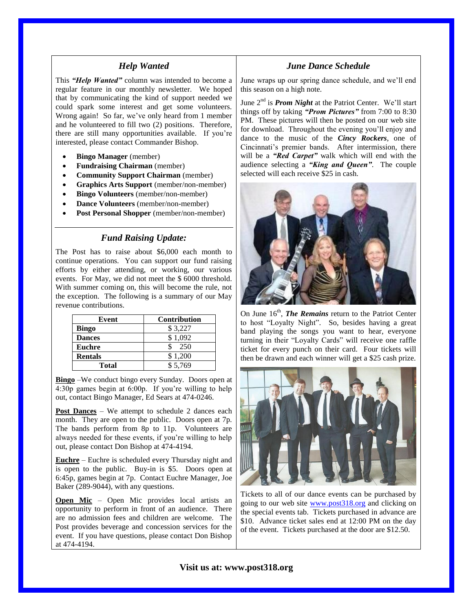#### *Help Wanted*

This *"Help Wanted"* column was intended to become a regular feature in our monthly newsletter. We hoped that by communicating the kind of support needed we could spark some interest and get some volunteers. Wrong again! So far, we've only heard from 1 member and he volunteered to fill two (2) positions. Therefore, there are still many opportunities available. If you're interested, please contact Commander Bishop.

- **Bingo Manager** (member)
- **Fundraising Chairman** (member)
- **Community Support Chairman** (member)
- **Graphics Arts Support** (member/non-member)
- **Bingo Volunteers** (member/non-member)
- **Dance Volunteers** (member/non-member)
- **Post Personal Shopper** (member/non-member)

# *Fund Raising Update:*

The Post has to raise about \$6,000 each month to continue operations. You can support our fund raising efforts by either attending, or working, our various events. For May, we did not meet the \$ 6000 threshold. With summer coming on, this will become the rule, not the exception. The following is a summary of our May revenue contributions.

| Event          | <b>Contribution</b> |
|----------------|---------------------|
| <b>Bingo</b>   | \$3,227             |
| <b>Dances</b>  | \$1,092             |
| <b>Euchre</b>  | 250                 |
| <b>Rentals</b> | \$1,200             |
| <b>Total</b>   | \$5.769             |

**Bingo** –We conduct bingo every Sunday. Doors open at 4:30p games begin at 6:00p. If you're willing to help out, contact Bingo Manager, Ed Sears at 474-0246.

**Post Dances** – We attempt to schedule 2 dances each month. They are open to the public. Doors open at 7p. The bands perform from 8p to 11p. Volunteers are always needed for these events, if you're willing to help out, please contact Don Bishop at 474-4194.

**Euchre** – Euchre is scheduled every Thursday night and is open to the public. Buy-in is \$5. Doors open at 6:45p, games begin at 7p. Contact Euchre Manager, Joe Baker (289-9044), with any questions.

**Open Mic** – Open Mic provides local artists an opportunity to perform in front of an audience. There are no admission fees and children are welcome. The Post provides beverage and concession services for the event. If you have questions, please contact Don Bishop at 474-4194.

# *June Dance Schedule*

June wraps up our spring dance schedule, and we'll end this season on a high note.

June 2<sup>nd</sup> is *Prom Night* at the Patriot Center. We'll start things off by taking *"Prom Pictures"* from 7:00 to 8:30 PM. These pictures will then be posted on our web site for download. Throughout the evening you'll enjoy and dance to the music of the *Cincy Rockers*, one of Cincinnati's premier bands. After intermission, there will be a *"Red Carpet"* walk which will end with the audience selecting a *"King and Queen"*. The couple selected will each receive \$25 in cash.



On June 16<sup>th</sup>, *The Remains* return to the Patriot Center to host "Loyalty Night". So, besides having a great band playing the songs you want to hear, everyone turning in their "Loyalty Cards" will receive one raffle ticket for every punch on their card. Four tickets will then be drawn and each winner will get a \$25 cash prize.



Tickets to all of our dance events can be purchased by going to our web site [www.post318.org](http://www.post318.org/) and clicking on the special events tab. Tickets purchased in advance are \$10. Advance ticket sales end at 12:00 PM on the day of the event. Tickets purchased at the door are \$12.50.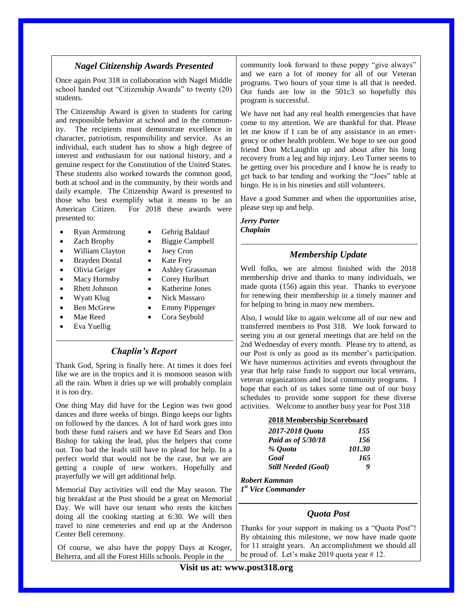# *Nagel Citizenship Awards Presented*

Once again Post 318 in collaboration with Nagel Middle school handed out "Citizenship Awards" to twenty (20) students.

The Citizenship Award is given to students for caring and responsible behavior at school and in the community. The recipients must demonstrate excellence in character, patriotism, responsibility and service. As an individual, each student has to show a high degree of interest and enthusiasm for our national history, and a genuine respect for the Constitution of the United States. These students also worked towards the common good, both at school and in the community, by their words and daily example. The Citizenship Award is presented to those who best exemplify what it means to be an American Citizen. For 2018 these awards were presented to:

- Ryan Armstrong Gehrig Baldauf
- Zach Brophy Biggie Campbell
- 
- William Clayton Joey Cron
- Brayden Dostal Kate Frey
- Olivia Geiger Ashley Grassman
- Macy Hornsby Corey Hurlburt
- Rhett Johnson Katherine Jones
- Wyatt Klug Nick Massaro
- -
- Eva Yuellig
- 
- 
- -
	-
	-
	-
- Ben McGrew Emmy Pippenger
- Mae Reed Cora Seybold

# *Chaplin's Report*

Thank God, Spring is finally here. At times it does feel like we are in the tropics and it is monsoon season with all the rain. When it dries up we will probably complain it is too dry.

One thing May did have for the Legion was two good dances and three weeks of bingo. Bingo keeps our lights on followed by the dances. A lot of hard work goes into both these fund raisers and we have Ed Sears and Don Bishop for taking the lead, plus the helpers that come out. Too bad the leads still have to plead for help. In a perfect world that would not be the case, but we are getting a couple of new workers. Hopefully and prayerfully we will get additional help.

Memorial Day activities will end the May season. The big breakfast at the Post should be a great on Memorial Day. We will have our tenant who rents the kitchen doing all the cooking starting at 6:30. We will then travel to nine cemeteries and end up at the Anderson Center Bell ceremony.

Of course, we also have the poppy Days at Kroger, Belterra, and all the Forest Hills schools. People in the

community look forward to these poppy "give always" and we earn a lot of money for all of our Veteran programs. Two hours of your time is all that is needed. Our funds are low in the 501c3 so hopefully this program is successful.

We have not had any real health emergencies that have come to my attention. We are thankful for that. Please let me know if I can be of any assistance in an emergency or other health problem. We hope to see our good friend Don McLaughlin up and about after his long recovery from a leg and hip injury. Leo Turner seems to be getting over his procedure and I know he is ready to get back to bar tending and working the "Joes" table at bingo. He is in his nineties and still volunteers.

Have a good Summer and when the opportunities arise, please step up and help.

*Jerry Porter Chaplain*

# *Membership Update*

Well folks, we are almost finished with the 2018 membership drive and thanks to many individuals, we made quota (156) again this year. Thanks to everyone for renewing their membership in a timely manner and for helping to bring in many new members.

Also, I would like to again welcome all of our new and transferred members to Post 318. We look forward to seeing you at our general meetings that are held on the 2nd Wednesday of every month. Please try to attend, as our Post is only as good as its member's participation. We have numerous activities and events throughout the year that help raise funds to support our local veterans, veteran organizations and local community programs. I hope that each of us takes some time out of our busy schedules to provide some support for these diverse activities. Welcome to another busy year for Post 318

#### **2018 Membership Scoreboard**

| 2017-2018 Quota            | 155    |
|----------------------------|--------|
| Paid as of 5/30/18         | 156    |
| % Quota                    | 101.30 |
| Goal                       | 165    |
| <b>Still Needed (Goal)</b> | o      |

*Robert Kamman 1 st Vice Commander*

# *Quota Post*

Thanks for your support in making us a "Quota Post"! By obtaining this milestone, we now have made quote for 11 straight years. An accomplishment we should all be proud of. Let's make 2019 quota year  $\#$  12.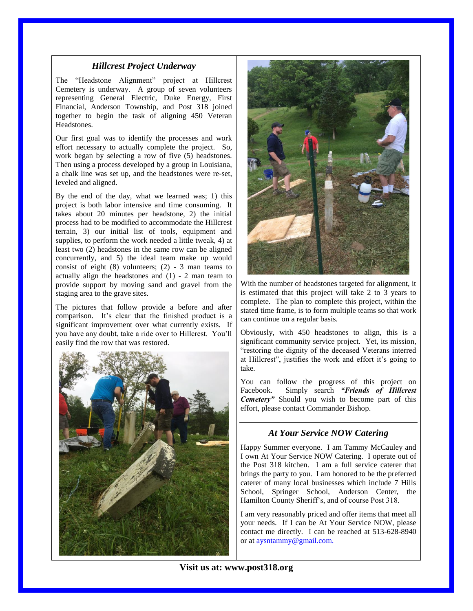#### *Hillcrest Project Underway*

The "Headstone Alignment" project at Hillcrest Cemetery is underway. A group of seven volunteers representing General Electric, Duke Energy, First Financial, Anderson Township, and Post 318 joined together to begin the task of aligning 450 Veteran Headstones.

Our first goal was to identify the processes and work effort necessary to actually complete the project. So, work began by selecting a row of five (5) headstones. Then using a process developed by a group in Louisiana, a chalk line was set up, and the headstones were re-set, leveled and aligned.

By the end of the day, what we learned was; 1) this project is both labor intensive and time consuming. It takes about 20 minutes per headstone, 2) the initial process had to be modified to accommodate the Hillcrest terrain, 3) our initial list of tools, equipment and supplies, to perform the work needed a little tweak, 4) at least two (2) headstones in the same row can be aligned concurrently, and 5) the ideal team make up would consist of eight  $(8)$  volunteers;  $(2)$  - 3 man teams to actually align the headstones and (1) - 2 man team to provide support by moving sand and gravel from the staging area to the grave sites.

The pictures that follow provide a before and after comparison. It's clear that the finished product is a significant improvement over what currently exists. If you have any doubt, take a ride over to Hillcrest. You'll easily find the row that was restored.





With the number of headstones targeted for alignment, it is estimated that this project will take 2 to 3 years to complete. The plan to complete this project, within the stated time frame, is to form multiple teams so that work can continue on a regular basis.

Obviously, with 450 headstones to align, this is a significant community service project. Yet, its mission, "restoring the dignity of the deceased Veterans interred at Hillcrest", justifies the work and effort it's going to take.

You can follow the progress of this project on Facebook. Simply search *"Friends of Hillcrest Cemetery"* Should you wish to become part of this effort, please contact Commander Bishop.

# *At Your Service NOW Catering*

Happy Summer everyone. I am Tammy McCauley and I own At Your Service NOW Catering. I operate out of the Post 318 kitchen. I am a full service caterer that brings the party to you. I am honored to be the preferred caterer of many local businesses which include 7 Hills School, Springer School, Anderson Center, the Hamilton County Sheriff's, and of course Post 318.

I am very reasonably priced and offer items that meet all your needs. If I can be At Your Service NOW, please contact me directly. I can be reached at 513-628-8940 or at [aysntammy@gmail.com.](mailto:aysntammy@gmail.com)

**Visit us at: www.post318.org**